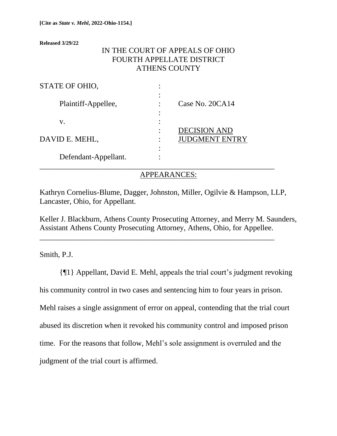**Released 3/29/22**

# IN THE COURT OF APPEALS OF OHIO FOURTH APPELLATE DISTRICT ATHENS COUNTY

| STATE OF OHIO,       | ٠           |                                              |
|----------------------|-------------|----------------------------------------------|
| Plaintiff-Appellee,  | ٠<br>٠      | Case No. 20CA14                              |
| V.                   |             |                                              |
| DAVID E. MEHL,       | ٠<br>٠<br>٠ | <b>DECISION AND</b><br><b>JUDGMENT ENTRY</b> |
| Defendant-Appellant. | ٠<br>٠      |                                              |

## APPEARANCES:

Kathryn Cornelius-Blume, Dagger, Johnston, Miller, Ogilvie & Hampson, LLP, Lancaster, Ohio, for Appellant.

Keller J. Blackburn, Athens County Prosecuting Attorney, and Merry M. Saunders, Assistant Athens County Prosecuting Attorney, Athens, Ohio, for Appellee.

\_\_\_\_\_\_\_\_\_\_\_\_\_\_\_\_\_\_\_\_\_\_\_\_\_\_\_\_\_\_\_\_\_\_\_\_\_\_\_\_\_\_\_\_\_\_\_\_\_\_\_\_\_\_\_\_\_\_\_\_\_

Smith, P.J.

{¶1} Appellant, David E. Mehl, appeals the trial court's judgment revoking his community control in two cases and sentencing him to four years in prison. Mehl raises a single assignment of error on appeal, contending that the trial court abused its discretion when it revoked his community control and imposed prison time. For the reasons that follow, Mehl's sole assignment is overruled and the judgment of the trial court is affirmed.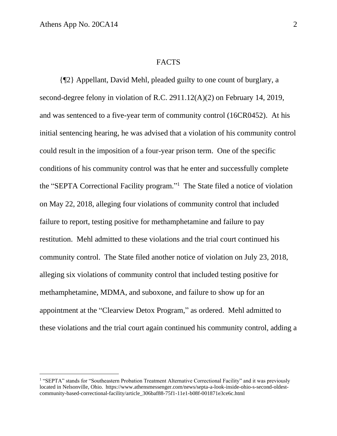#### **FACTS**

{¶2} Appellant, David Mehl, pleaded guilty to one count of burglary, a second-degree felony in violation of R.C. 2911.12(A)(2) on February 14, 2019, and was sentenced to a five-year term of community control (16CR0452). At his initial sentencing hearing, he was advised that a violation of his community control could result in the imposition of a four-year prison term. One of the specific conditions of his community control was that he enter and successfully complete the "SEPTA Correctional Facility program." 1 The State filed a notice of violation on May 22, 2018, alleging four violations of community control that included failure to report, testing positive for methamphetamine and failure to pay restitution. Mehl admitted to these violations and the trial court continued his community control. The State filed another notice of violation on July 23, 2018, alleging six violations of community control that included testing positive for methamphetamine, MDMA, and suboxone, and failure to show up for an appointment at the "Clearview Detox Program," as ordered. Mehl admitted to these violations and the trial court again continued his community control, adding a

<sup>&</sup>lt;sup>1</sup> "SEPTA" stands for "Southeastern Probation Treatment Alternative Correctional Facility" and it was previously located in Nelsonville, Ohio. https://www.athensmessenger.com/news/septa-a-look-inside-ohio-s-second-oldestcommunity-based-correctional-facility/article\_306baf88-75f1-11e1-b08f-001871e3ce6c.html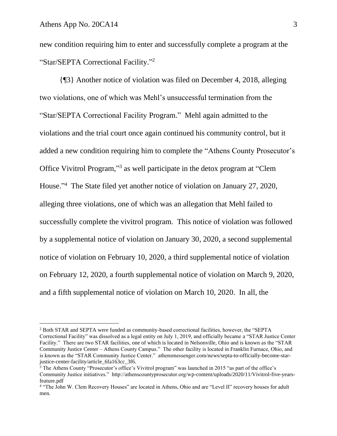new condition requiring him to enter and successfully complete a program at the "Star/SEPTA Correctional Facility."<sup>2</sup>

{¶3} Another notice of violation was filed on December 4, 2018, alleging two violations, one of which was Mehl's unsuccessful termination from the "Star/SEPTA Correctional Facility Program." Mehl again admitted to the violations and the trial court once again continued his community control, but it added a new condition requiring him to complete the "Athens County Prosecutor's Office Vivitrol Program," 3 as well participate in the detox program at "Clem House." 4 The State filed yet another notice of violation on January 27, 2020, alleging three violations, one of which was an allegation that Mehl failed to successfully complete the vivitrol program. This notice of violation was followed by a supplemental notice of violation on January 30, 2020, a second supplemental notice of violation on February 10, 2020, a third supplemental notice of violation on February 12, 2020, a fourth supplemental notice of violation on March 9, 2020, and a fifth supplemental notice of violation on March 10, 2020. In all, the

<sup>2</sup> Both STAR and SEPTA were funded as community-based correctional facilities, however, the "SEPTA Correctional Facility" was dissolved as a legal entity on July 1, 2019, and officially became a "STAR Justice Center Facility." There are two STAR facilities, one of which is located in Nelsonville, Ohio and is known as the "STAR Community Justice Center – Athens County Campus." The other facility is located in Franklin Furnace, Ohio, and is known as the "STAR Community Justice Center." athensmessenger.com/news/septa-to-officially-become-starjustice-center-facility/article\_6fa163cc\_3f6.

<sup>&</sup>lt;sup>3</sup> The Athens County "Prosecutor's office's Vivitrol program" was launched in 2015 "as part of the office's Community Justice initiatives." http://athenscountyprosecutor.org/wp-content/uploads/2020/11/Vivitrol-five-yearsfeature.pdf

<sup>4</sup> "The John W. Clem Recovery Houses" are located in Athens, Ohio and are "Level II" recovery houses for adult men.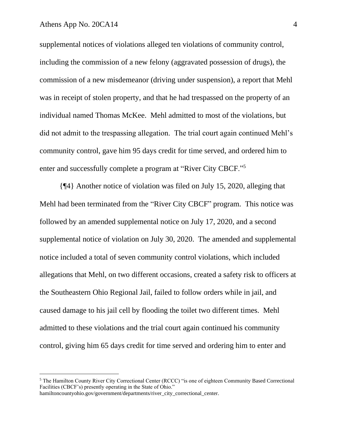supplemental notices of violations alleged ten violations of community control, including the commission of a new felony (aggravated possession of drugs), the commission of a new misdemeanor (driving under suspension), a report that Mehl was in receipt of stolen property, and that he had trespassed on the property of an individual named Thomas McKee. Mehl admitted to most of the violations, but did not admit to the trespassing allegation. The trial court again continued Mehl's community control, gave him 95 days credit for time served, and ordered him to enter and successfully complete a program at "River City CBCF."<sup>5</sup>

{¶4} Another notice of violation was filed on July 15, 2020, alleging that Mehl had been terminated from the "River City CBCF" program. This notice was followed by an amended supplemental notice on July 17, 2020, and a second supplemental notice of violation on July 30, 2020. The amended and supplemental notice included a total of seven community control violations, which included allegations that Mehl, on two different occasions, created a safety risk to officers at the Southeastern Ohio Regional Jail, failed to follow orders while in jail, and caused damage to his jail cell by flooding the toilet two different times. Mehl admitted to these violations and the trial court again continued his community control, giving him 65 days credit for time served and ordering him to enter and

<sup>5</sup> The Hamilton County River City Correctional Center (RCCC) "is one of eighteen Community Based Correctional Facilities (CBCF's) presently operating in the State of Ohio."

hamiltoncountyohio.gov/government/departments/river\_city\_correctional\_center.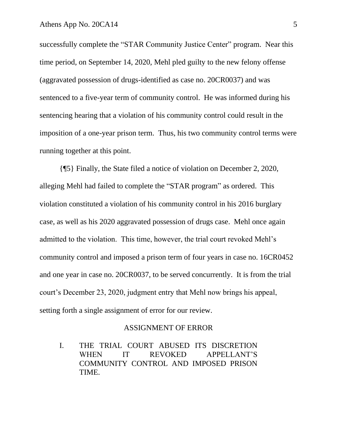successfully complete the "STAR Community Justice Center" program. Near this time period, on September 14, 2020, Mehl pled guilty to the new felony offense (aggravated possession of drugs-identified as case no. 20CR0037) and was sentenced to a five-year term of community control. He was informed during his sentencing hearing that a violation of his community control could result in the imposition of a one-year prison term. Thus, his two community control terms were running together at this point.

{¶5} Finally, the State filed a notice of violation on December 2, 2020, alleging Mehl had failed to complete the "STAR program" as ordered. This violation constituted a violation of his community control in his 2016 burglary case, as well as his 2020 aggravated possession of drugs case. Mehl once again admitted to the violation. This time, however, the trial court revoked Mehl's community control and imposed a prison term of four years in case no. 16CR0452 and one year in case no. 20CR0037, to be served concurrently. It is from the trial court's December 23, 2020, judgment entry that Mehl now brings his appeal, setting forth a single assignment of error for our review.

#### ASSIGNMENT OF ERROR

I. THE TRIAL COURT ABUSED ITS DISCRETION WHEN IT REVOKED APPELLANT'S COMMUNITY CONTROL AND IMPOSED PRISON TIME.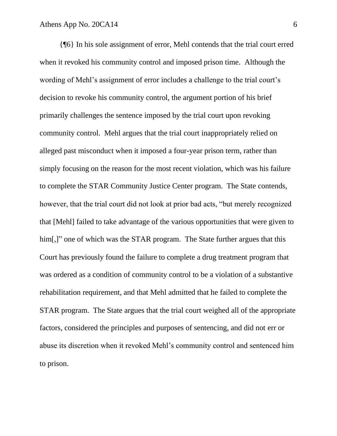{¶6} In his sole assignment of error, Mehl contends that the trial court erred when it revoked his community control and imposed prison time. Although the wording of Mehl's assignment of error includes a challenge to the trial court's decision to revoke his community control, the argument portion of his brief primarily challenges the sentence imposed by the trial court upon revoking community control. Mehl argues that the trial court inappropriately relied on alleged past misconduct when it imposed a four-year prison term, rather than simply focusing on the reason for the most recent violation, which was his failure to complete the STAR Community Justice Center program. The State contends, however, that the trial court did not look at prior bad acts, "but merely recognized that [Mehl] failed to take advantage of the various opportunities that were given to him.]" one of which was the STAR program. The State further argues that this Court has previously found the failure to complete a drug treatment program that was ordered as a condition of community control to be a violation of a substantive rehabilitation requirement, and that Mehl admitted that he failed to complete the STAR program. The State argues that the trial court weighed all of the appropriate factors, considered the principles and purposes of sentencing, and did not err or abuse its discretion when it revoked Mehl's community control and sentenced him to prison.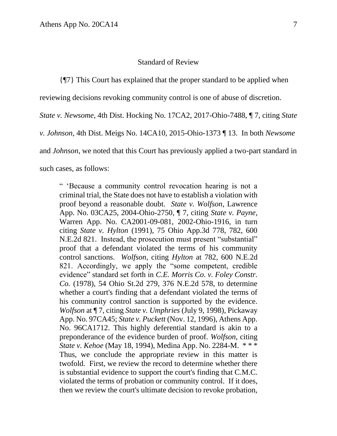### Standard of Review

{¶7} This Court has explained that the proper standard to be applied when

reviewing decisions revoking community control is one of abuse of discretion.

*State v. Newsome*, 4th Dist. Hocking No. 17CA2, 2017-Ohio-7488, ¶ 7, citing *State* 

*v. Johnson*, 4th Dist. Meigs No. 14CA10, 2015-Ohio-1373 ¶ 13. In both *Newsome* 

and *Johnson*, we noted that this Court has previously applied a two-part standard in

such cases, as follows:

" 'Because a community control revocation hearing is not a criminal trial, the State does not have to establish a violation with proof beyond a reasonable doubt. *State v. Wolfson*, Lawrence App. No. 03CA25, 2004-Ohio-2750, ¶ 7, citing *State v. Payne*, Warren App. No. CA2001-09-081, 2002-Ohio-1916, in turn citing *State v. Hylton* (1991), 75 Ohio App.3d 778, 782, 600 N.E.2d 821. Instead, the prosecution must present "substantial" proof that a defendant violated the terms of his community control sanctions. *Wolfson*, citing *Hylton* at 782, 600 N.E.2d 821. Accordingly, we apply the "some competent, credible evidence" standard set forth in *C.E. Morris Co. v. Foley Constr. Co.* (1978), 54 Ohio St.2d 279, 376 N.E.2d 578, to determine whether a court's finding that a defendant violated the terms of his community control sanction is supported by the evidence. *Wolfson* at ¶ 7, citing *State v. Umphries* (July 9, 1998), Pickaway App. No. 97CA45; *State v. Puckett* (Nov. 12, 1996), Athens App. No. 96CA1712. This highly deferential standard is akin to a preponderance of the evidence burden of proof. *Wolfson*, citing *State v. Kehoe* (May 18, 1994), Medina App. No. 2284-M. \* \* \* Thus, we conclude the appropriate review in this matter is twofold. First, we review the record to determine whether there is substantial evidence to support the court's finding that C.M.C. violated the terms of probation or community control. If it does, then we review the court's ultimate decision to revoke probation,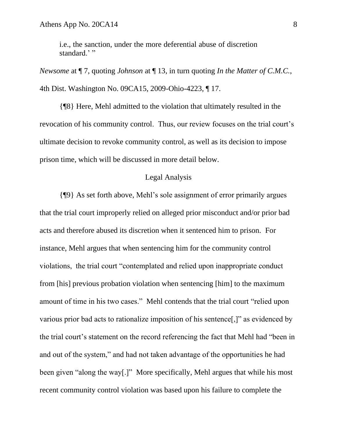i.e., the sanction, under the more deferential abuse of discretion standard.'"

*Newsome* at ¶ 7, quoting *Johnson* at ¶ 13, in turn quoting *In the Matter of C.M.C.*, 4th Dist. Washington No. 09CA15, 2009-Ohio-4223, ¶ 17.

{¶8} Here, Mehl admitted to the violation that ultimately resulted in the revocation of his community control. Thus, our review focuses on the trial court's ultimate decision to revoke community control, as well as its decision to impose prison time, which will be discussed in more detail below.

### Legal Analysis

{¶9} As set forth above, Mehl's sole assignment of error primarily argues that the trial court improperly relied on alleged prior misconduct and/or prior bad acts and therefore abused its discretion when it sentenced him to prison. For instance, Mehl argues that when sentencing him for the community control violations, the trial court "contemplated and relied upon inappropriate conduct from [his] previous probation violation when sentencing [him] to the maximum amount of time in his two cases." Mehl contends that the trial court "relied upon various prior bad acts to rationalize imposition of his sentence[,]" as evidenced by the trial court's statement on the record referencing the fact that Mehl had "been in and out of the system," and had not taken advantage of the opportunities he had been given "along the way[.]" More specifically, Mehl argues that while his most recent community control violation was based upon his failure to complete the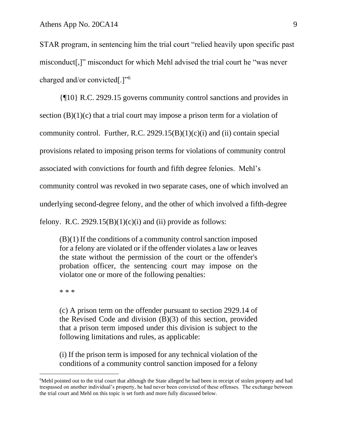STAR program, in sentencing him the trial court "relied heavily upon specific past misconduct[,]" misconduct for which Mehl advised the trial court he "was never charged and/or convicted[.]"<sup>6</sup>

{¶10} R.C. 2929.15 governs community control sanctions and provides in section  $(B)(1)(c)$  that a trial court may impose a prison term for a violation of community control. Further, R.C.  $2929.15(B)(1)(c)(i)$  and (ii) contain special provisions related to imposing prison terms for violations of community control associated with convictions for fourth and fifth degree felonies. Mehl's community control was revoked in two separate cases, one of which involved an underlying second-degree felony, and the other of which involved a fifth-degree felony. R.C.  $2929.15(B)(1)(c)(i)$  and (ii) provide as follows:

(B)(1) If the conditions of a community control sanction imposed for a felony are violated or if the offender violates a law or leaves the state without the permission of the court or the offender's probation officer, the sentencing court may impose on the violator one or more of the following penalties:

\* \* \*

(c) A prison term on the offender pursuant to section 2929.14 of the Revised Code and division (B)(3) of this section, provided that a prison term imposed under this division is subject to the following limitations and rules, as applicable:

(i) If the prison term is imposed for any technical violation of the conditions of a community control sanction imposed for a felony

<sup>&</sup>lt;sup>6</sup>Mehl pointed out to the trial court that although the State alleged he had been in receipt of stolen property and had trespassed on another individual's property, he had never been convicted of these offenses. The exchange between the trial court and Mehl on this topic is set forth and more fully discussed below.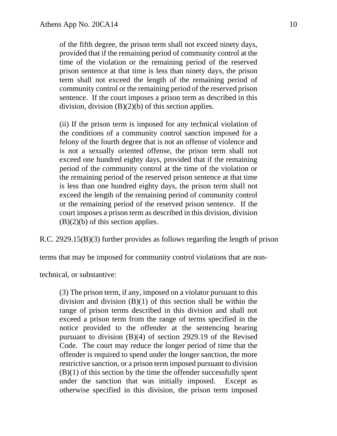of the fifth degree, the prison term shall not exceed ninety days, provided that if the remaining period of community control at the time of the violation or the remaining period of the reserved prison sentence at that time is less than ninety days, the prison term shall not exceed the length of the remaining period of community control or the remaining period of the reserved prison sentence. If the court imposes a prison term as described in this division, division  $(B)(2)(b)$  of this section applies.

(ii) If the prison term is imposed for any technical violation of the conditions of a community control sanction imposed for a felony of the fourth degree that is not an offense of violence and is not a sexually oriented offense, the prison term shall not exceed one hundred eighty days, provided that if the remaining period of the community control at the time of the violation or the remaining period of the reserved prison sentence at that time is less than one hundred eighty days, the prison term shall not exceed the length of the remaining period of community control or the remaining period of the reserved prison sentence. If the court imposes a prison term as described in this division, division  $(B)(2)(b)$  of this section applies.

R.C. 2929.15(B)(3) further provides as follows regarding the length of prison

terms that may be imposed for community control violations that are non-

technical, or substantive:

(3) The prison term, if any, imposed on a violator pursuant to this division and division (B)(1) of this section shall be within the range of prison terms described in this division and shall not exceed a prison term from the range of terms specified in the notice provided to the offender at the sentencing hearing pursuant to division (B)(4) of section 2929.19 of the Revised Code. The court may reduce the longer period of time that the offender is required to spend under the longer sanction, the more restrictive sanction, or a prison term imposed pursuant to division  $(B)(1)$  of this section by the time the offender successfully spent under the sanction that was initially imposed. Except as otherwise specified in this division, the prison term imposed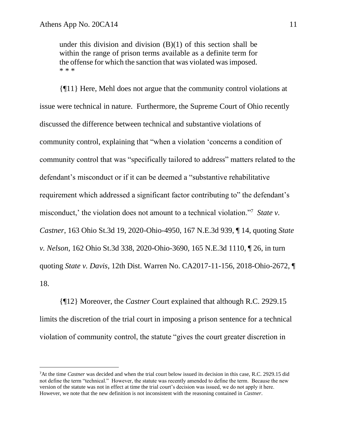under this division and division (B)(1) of this section shall be within the range of prison terms available as a definite term for the offense for which the sanction that was violated was imposed. \* \* \*

{¶11} Here, Mehl does not argue that the community control violations at issue were technical in nature. Furthermore, the Supreme Court of Ohio recently discussed the difference between technical and substantive violations of community control, explaining that "when a violation 'concerns a condition of community control that was "specifically tailored to address" matters related to the defendant's misconduct or if it can be deemed a "substantive rehabilitative requirement which addressed a significant factor contributing to" the defendant's misconduct,' the violation does not amount to a technical violation."<sup>7</sup> State v. *Castner*, 163 Ohio St.3d 19, 2020-Ohio-4950, 167 N.E.3d 939, ¶ 14, quoting *State v. Nelson*, 162 Ohio St.3d 338, 2020-Ohio-3690, 165 N.E.3d 1110, ¶ 26, in turn quoting *State v. Davis*, 12th Dist. Warren No. CA2017-11-156, 2018-Ohio-2672, ¶ 18.

{¶12} Moreover, the *Castner* Court explained that although R.C. 2929.15 limits the discretion of the trial court in imposing a prison sentence for a technical violation of community control, the statute "gives the court greater discretion in

<sup>7</sup>At the time *Castner* was decided and when the trial court below issued its decision in this case, R.C. 2929.15 did not define the term "technical." However, the statute was recently amended to define the term. Because the new version of the statute was not in effect at time the trial court's decision was issued, we do not apply it here. However, we note that the new definition is not inconsistent with the reasoning contained in *Castner*.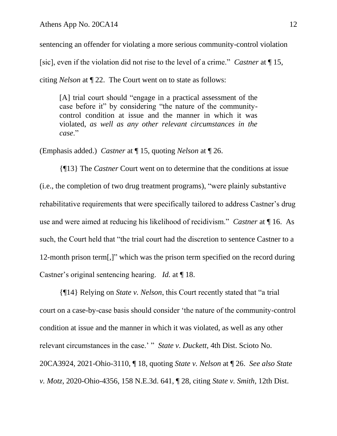sentencing an offender for violating a more serious community-control violation [sic], even if the violation did not rise to the level of a crime." *Castner* at ¶ 15, citing *Nelson* at ¶ 22. The Court went on to state as follows:

[A] trial court should "engage in a practical assessment of the case before it" by considering "the nature of the communitycontrol condition at issue and the manner in which it was violated, *as well as any other relevant circumstances in the case*."

(Emphasis added.) *Castner* at ¶ 15, quoting *Nelson* at ¶ 26.

{¶13} The *Castner* Court went on to determine that the conditions at issue (i.e., the completion of two drug treatment programs), "were plainly substantive rehabilitative requirements that were specifically tailored to address Castner's drug use and were aimed at reducing his likelihood of recidivism." *Castner* at ¶ 16. As such, the Court held that "the trial court had the discretion to sentence Castner to a 12-month prison term[,]" which was the prison term specified on the record during Castner's original sentencing hearing. *Id.* at ¶ 18.

{¶14} Relying on *State v. Nelson*, this Court recently stated that "a trial court on a case-by-case basis should consider 'the nature of the community-control condition at issue and the manner in which it was violated, as well as any other relevant circumstances in the case.' " *State v. Duckett*, 4th Dist. Scioto No. 20CA3924, 2021-Ohio-3110, ¶ 18, quoting *State v. Nelson* at ¶ 26. *See also State v. Motz*, 2020-Ohio-4356, 158 N.E.3d. 641, ¶ 28, citing *State v. Smith*, 12th Dist.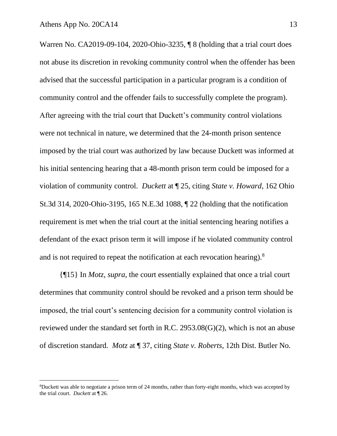Warren No. CA2019-09-104, 2020-Ohio-3235, ¶ 8 (holding that a trial court does not abuse its discretion in revoking community control when the offender has been advised that the successful participation in a particular program is a condition of community control and the offender fails to successfully complete the program). After agreeing with the trial court that Duckett's community control violations were not technical in nature, we determined that the 24-month prison sentence imposed by the trial court was authorized by law because Duckett was informed at his initial sentencing hearing that a 48-month prison term could be imposed for a violation of community control. *Duckett* at ¶ 25, citing *State v. Howard*, 162 Ohio St.3d 314, 2020-Ohio-3195, 165 N.E.3d 1088, ¶ 22 (holding that the notification requirement is met when the trial court at the initial sentencing hearing notifies a defendant of the exact prison term it will impose if he violated community control and is not required to repeat the notification at each revocation hearing). $8$ 

{¶15} In *Motz*, *supra*, the court essentially explained that once a trial court determines that community control should be revoked and a prison term should be imposed, the trial court's sentencing decision for a community control violation is reviewed under the standard set forth in R.C. 2953.08(G)(2), which is not an abuse of discretion standard. *Motz* at ¶ 37, citing *State v. Roberts*, 12th Dist. Butler No.

<sup>8</sup>Duckett was able to negotiate a prison term of 24 months, rather than forty-eight months, which was accepted by the trial court. *Duckett* at ¶ 26.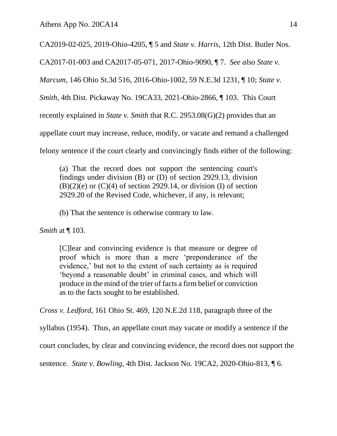CA2019-02-025, 2019-Ohio-4205, ¶ 5 and *State v. Harris*, 12th Dist. Butler Nos.

CA2017-01-003 and CA2017-05-071, 2017-Ohio-9090, ¶ 7. *See also State v.* 

*Marcum*, 146 Ohio St.3d 516, 2016-Ohio-1002, 59 N.E.3d 1231, ¶ 10; *State v.* 

*Smith*, 4th Dist. Pickaway No. 19CA33, 2021-Ohio-2866, ¶ 103. This Court

recently explained in *State v. Smith* that R.C. 2953.08(G)(2) provides that an

appellate court may increase, reduce, modify, or vacate and remand a challenged

felony sentence if the court clearly and convincingly finds either of the following:

(a) That the record does not support the sentencing court's findings under division (B) or (D) of section 2929.13, division  $(B)(2)(e)$  or  $(C)(4)$  of section 2929.14, or division (I) of section 2929.20 of the Revised Code, whichever, if any, is relevant;

(b) That the sentence is otherwise contrary to law.

*Smith* at  $\P$  103.

[C]lear and convincing evidence is that measure or degree of proof which is more than a mere 'preponderance of the evidence,' but not to the extent of such certainty as is required 'beyond a reasonable doubt' in criminal cases, and which will produce in the mind of the trier of facts a firm belief or conviction as to the facts sought to be established.

*Cross v. Ledford*, 161 Ohio St. 469, 120 N.E.2d 118, paragraph three of the

syllabus (1954). Thus, an appellate court may vacate or modify a sentence if the

court concludes, by clear and convincing evidence, the record does not support the

sentence. *State v. Bowling*, 4th Dist. Jackson No. 19CA2, 2020-Ohio-813, ¶ 6.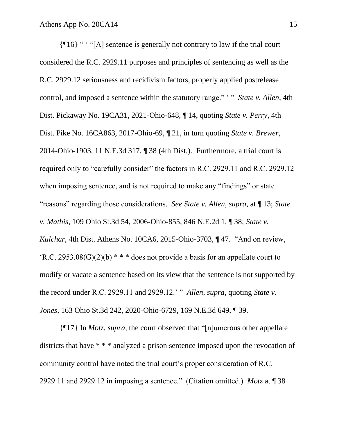{¶16} " ' "[A] sentence is generally not contrary to law if the trial court considered the R.C. 2929.11 purposes and principles of sentencing as well as the R.C. 2929.12 seriousness and recidivism factors, properly applied postrelease control, and imposed a sentence within the statutory range." ' " *State v. Allen*, 4th Dist. Pickaway No. 19CA31, 2021-Ohio-648, ¶ 14, quoting *State v. Perry*, 4th Dist. Pike No. 16CA863, 2017-Ohio-69, ¶ 21, in turn quoting *State v. Brewer*, 2014-Ohio-1903, 11 N.E.3d 317, ¶ 38 (4th Dist.). Furthermore, a trial court is required only to "carefully consider" the factors in R.C. 2929.11 and R.C. 2929.12 when imposing sentence, and is not required to make any "findings" or state "reasons" regarding those considerations. *See State v. Allen*, *supra*, at ¶ 13; *State v. Mathis*, 109 Ohio St.3d 54, 2006-Ohio-855, 846 N.E.2d 1, ¶ 38; *State v. Kulchar*, 4th Dist. Athens No. 10CA6, 2015-Ohio-3703, ¶ 47. "And on review, 'R.C. 2953.08(G)(2)(b)  $* * *$  does not provide a basis for an appellate court to modify or vacate a sentence based on its view that the sentence is not supported by the record under R.C. 2929.11 and 2929.12.' " *Allen*, *supra*, quoting *State v. Jones*, 163 Ohio St.3d 242, 2020-Ohio-6729, 169 N.E.3d 649, ¶ 39.

{¶17} In *Motz*, *supra*, the court observed that "[n]umerous other appellate districts that have \* \* \* analyzed a prison sentence imposed upon the revocation of community control have noted the trial court's proper consideration of R.C. 2929.11 and 2929.12 in imposing a sentence." (Citation omitted.) *Motz* at ¶ 38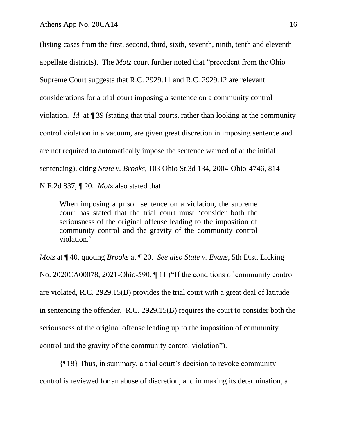(listing cases from the first, second, third, sixth, seventh, ninth, tenth and eleventh appellate districts). The *Motz* court further noted that "precedent from the Ohio Supreme Court suggests that R.C. 2929.11 and R.C. 2929.12 are relevant considerations for a trial court imposing a sentence on a community control violation. *Id.* at ¶ 39 (stating that trial courts, rather than looking at the community control violation in a vacuum, are given great discretion in imposing sentence and are not required to automatically impose the sentence warned of at the initial sentencing), citing *State v. Brooks*, 103 Ohio St.3d 134, 2004-Ohio-4746, 814 N.E.2d 837, ¶ 20. *Motz* also stated that

When imposing a prison sentence on a violation, the supreme court has stated that the trial court must 'consider both the seriousness of the original offense leading to the imposition of community control and the gravity of the community control violation.'

*Motz* at ¶ 40, quoting *Brooks* at ¶ 20. *See also State v. Evans*, 5th Dist. Licking No. 2020CA00078, 2021-Ohio-590, ¶ 11 ("If the conditions of community control are violated, R.C. 2929.15(B) provides the trial court with a great deal of latitude in sentencing the offender. R.C. 2929.15(B) requires the court to consider both the seriousness of the original offense leading up to the imposition of community control and the gravity of the community control violation").

{¶18} Thus, in summary, a trial court's decision to revoke community control is reviewed for an abuse of discretion, and in making its determination, a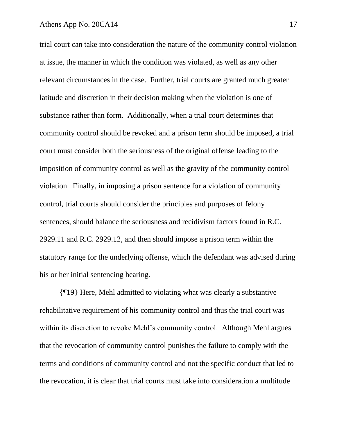trial court can take into consideration the nature of the community control violation at issue, the manner in which the condition was violated, as well as any other relevant circumstances in the case. Further, trial courts are granted much greater latitude and discretion in their decision making when the violation is one of substance rather than form. Additionally, when a trial court determines that community control should be revoked and a prison term should be imposed, a trial court must consider both the seriousness of the original offense leading to the imposition of community control as well as the gravity of the community control violation. Finally, in imposing a prison sentence for a violation of community control, trial courts should consider the principles and purposes of felony sentences, should balance the seriousness and recidivism factors found in R.C. 2929.11 and R.C. 2929.12, and then should impose a prison term within the statutory range for the underlying offense, which the defendant was advised during his or her initial sentencing hearing.

{¶19} Here, Mehl admitted to violating what was clearly a substantive rehabilitative requirement of his community control and thus the trial court was within its discretion to revoke Mehl's community control. Although Mehl argues that the revocation of community control punishes the failure to comply with the terms and conditions of community control and not the specific conduct that led to the revocation, it is clear that trial courts must take into consideration a multitude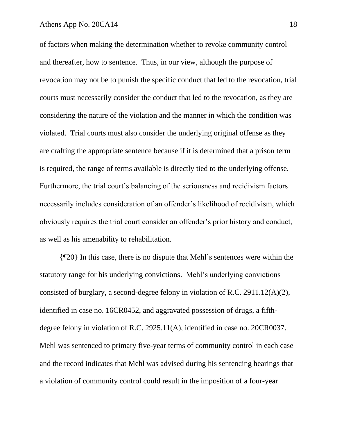of factors when making the determination whether to revoke community control and thereafter, how to sentence. Thus, in our view, although the purpose of revocation may not be to punish the specific conduct that led to the revocation, trial courts must necessarily consider the conduct that led to the revocation, as they are considering the nature of the violation and the manner in which the condition was violated. Trial courts must also consider the underlying original offense as they are crafting the appropriate sentence because if it is determined that a prison term is required, the range of terms available is directly tied to the underlying offense. Furthermore, the trial court's balancing of the seriousness and recidivism factors necessarily includes consideration of an offender's likelihood of recidivism, which obviously requires the trial court consider an offender's prior history and conduct, as well as his amenability to rehabilitation.

{¶20} In this case, there is no dispute that Mehl's sentences were within the statutory range for his underlying convictions. Mehl's underlying convictions consisted of burglary, a second-degree felony in violation of R.C. 2911.12(A)(2), identified in case no. 16CR0452, and aggravated possession of drugs, a fifthdegree felony in violation of R.C. 2925.11(A), identified in case no. 20CR0037. Mehl was sentenced to primary five-year terms of community control in each case and the record indicates that Mehl was advised during his sentencing hearings that a violation of community control could result in the imposition of a four-year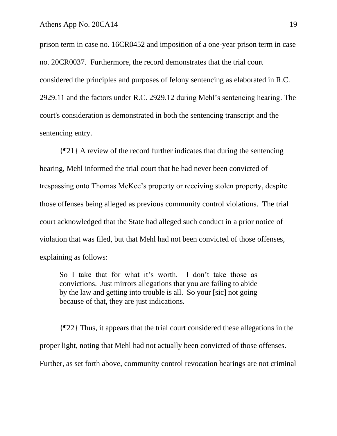prison term in case no. 16CR0452 and imposition of a one-year prison term in case no. 20CR0037. Furthermore, the record demonstrates that the trial court considered the principles and purposes of felony sentencing as elaborated in R.C. 2929.11 and the factors under R.C. 2929.12 during Mehl's sentencing hearing. The court's consideration is demonstrated in both the sentencing transcript and the sentencing entry.

{¶21} A review of the record further indicates that during the sentencing hearing, Mehl informed the trial court that he had never been convicted of trespassing onto Thomas McKee's property or receiving stolen property, despite those offenses being alleged as previous community control violations. The trial court acknowledged that the State had alleged such conduct in a prior notice of violation that was filed, but that Mehl had not been convicted of those offenses, explaining as follows:

So I take that for what it's worth. I don't take those as convictions. Just mirrors allegations that you are failing to abide by the law and getting into trouble is all. So your [sic] not going because of that, they are just indications.

{¶22} Thus, it appears that the trial court considered these allegations in the proper light, noting that Mehl had not actually been convicted of those offenses. Further, as set forth above, community control revocation hearings are not criminal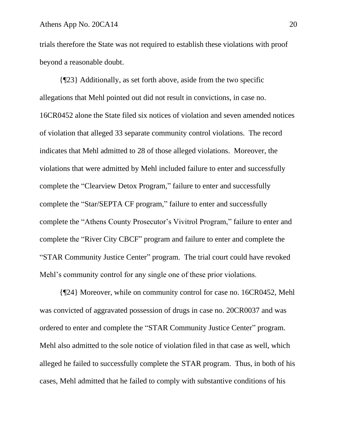trials therefore the State was not required to establish these violations with proof beyond a reasonable doubt.

{¶23} Additionally, as set forth above, aside from the two specific allegations that Mehl pointed out did not result in convictions, in case no. 16CR0452 alone the State filed six notices of violation and seven amended notices of violation that alleged 33 separate community control violations. The record indicates that Mehl admitted to 28 of those alleged violations. Moreover, the violations that were admitted by Mehl included failure to enter and successfully complete the "Clearview Detox Program," failure to enter and successfully complete the "Star/SEPTA CF program," failure to enter and successfully complete the "Athens County Prosecutor's Vivitrol Program," failure to enter and complete the "River City CBCF" program and failure to enter and complete the "STAR Community Justice Center" program. The trial court could have revoked Mehl's community control for any single one of these prior violations.

{¶24} Moreover, while on community control for case no. 16CR0452, Mehl was convicted of aggravated possession of drugs in case no. 20CR0037 and was ordered to enter and complete the "STAR Community Justice Center" program. Mehl also admitted to the sole notice of violation filed in that case as well, which alleged he failed to successfully complete the STAR program. Thus, in both of his cases, Mehl admitted that he failed to comply with substantive conditions of his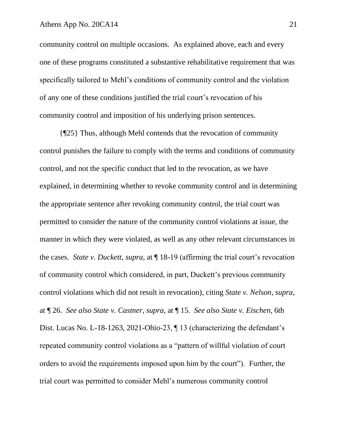community control on multiple occasions. As explained above, each and every one of these programs constituted a substantive rehabilitative requirement that was specifically tailored to Mehl's conditions of community control and the violation of any one of these conditions justified the trial court's revocation of his community control and imposition of his underlying prison sentences.

{¶25} Thus, although Mehl contends that the revocation of community control punishes the failure to comply with the terms and conditions of community control, and not the specific conduct that led to the revocation, as we have explained, in determining whether to revoke community control and in determining the appropriate sentence after revoking community control, the trial court was permitted to consider the nature of the community control violations at issue, the manner in which they were violated, as well as any other relevant circumstances in the cases. *State v. Duckett*, *supra*, at ¶ 18-19 (affirming the trial court's revocation of community control which considered, in part, Duckett's previous community control violations which did not result in revocation), citing *State v. Nelson*, *supra*, at ¶ 26. *See also State v. Castner*, *supra*, at ¶ 15. *See also State v. Eischen*, 6th Dist. Lucas No. L-18-1263, 2021-Ohio-23, ¶ 13 (characterizing the defendant's repeated community control violations as a "pattern of willful violation of court orders to avoid the requirements imposed upon him by the court"). Further, the trial court was permitted to consider Mehl's numerous community control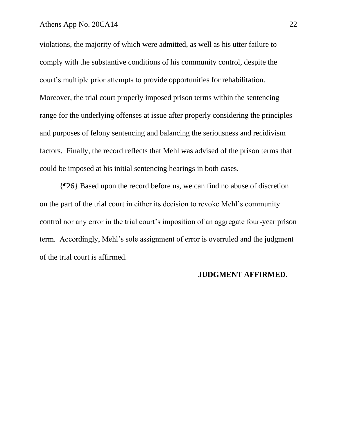#### Athens App No. 20CA14 22

violations, the majority of which were admitted, as well as his utter failure to comply with the substantive conditions of his community control, despite the court's multiple prior attempts to provide opportunities for rehabilitation. Moreover, the trial court properly imposed prison terms within the sentencing range for the underlying offenses at issue after properly considering the principles and purposes of felony sentencing and balancing the seriousness and recidivism factors. Finally, the record reflects that Mehl was advised of the prison terms that could be imposed at his initial sentencing hearings in both cases.

{¶26} Based upon the record before us, we can find no abuse of discretion on the part of the trial court in either its decision to revoke Mehl's community control nor any error in the trial court's imposition of an aggregate four-year prison term. Accordingly, Mehl's sole assignment of error is overruled and the judgment of the trial court is affirmed.

### **JUDGMENT AFFIRMED.**